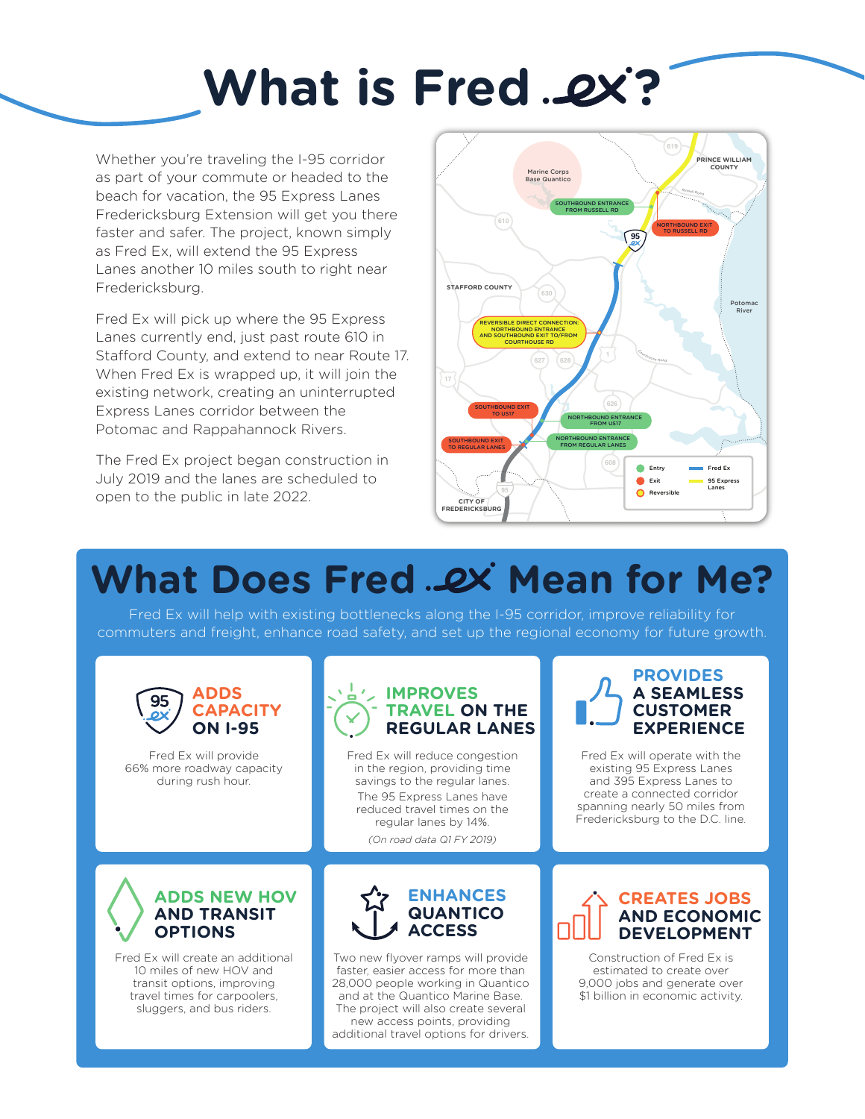# **What is Fred .ex?**

Whether you're traveling the I‑95 corridor as part of your commute or headed to the beach for vacation, the 95 Express Lanes Fredericksburg Extension will get you there faster and safer. The project, known simply as Fred Ex, will extend the 95 Express Lanes another 10 miles south to right near Fredericksburg.

Fred Ex will pick up where the 95 Express Lanes currently end, just past route 610 in Stafford County, and extend to near Route 17. When Fred Ex is wrapped up, it will join the existing network, creating an uninterrupted Express Lanes corridor between the Potomac and Rappahannock Rivers.

The Fred Ex project began construction in July 2019 and the lanes are scheduled to open to the public in late 2022.



# **What Does Fred ...ex' Mean for Me?**

Fred Ex will help with existing bottlenecks along the I-95 corridor, improve reliability for commuters and freight, enhance road safety, and set up the regional economy for future growth.



Fred Ex will provide 66% more roadway capacity during rush hour.



Fred Ex will reduce congestion in the region, providing time savings to the regular lanes. The 95 Express Lanes have reduced travel times on the regular lanes by 14%.

*(On road data Q1 FY 2019)*



Fred Ex will operate with the existing 95 Express Lanes and 395 Express Lanes to create a connected corridor spanning nearly 50 miles from Fredericksburg to the D.C. line.

#### **ADDS NEW HOV AND TRANSIT OPTIONS**

Fred Ex will create an additional 10 miles of new HOV and transit options, improving travel times for carpoolers, sluggers, and bus riders.



Two new flyover ramps will provide faster, easier access for more than 28,000 people working in Quantico and at the Quantico Marine Base. The project will also create several new access points, providing additional travel options for drivers.

#### **CREATES JOBS AND ECONOMIC DEVELOPMENT**

Construction of Fred Ex is estimated to create over 9,000 jobs and generate over \$1 billion in economic activity.